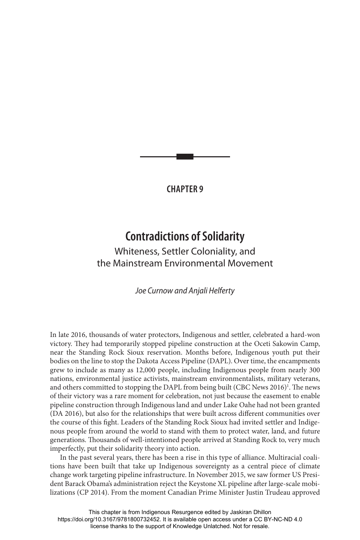

**CHAPTER 9**

# **Contradictions of Solidarity**

Whiteness, Settler Coloniality, and the Mainstream Environmental Movement

*Joe Curnow and Anjali Helferty*

In late 2016, thousands of water protectors, Indigenous and settler, celebrated a hard-won victory. They had temporarily stopped pipeline construction at the Oceti Sakowin Camp, near the Standing Rock Sioux reservation. Months before, Indigenous youth put their bodies on the line to stop the Dakota Access Pipeline (DAPL). Over time, the encampments grew to include as many as 12,000 people, including Indigenous people from nearly 300 nations, environmental justice activists, mainstream environmentalists, military veterans, and others committed to stopping the DAPL from being built (CBC News 2016)<sup>1</sup>. The news of their victory was a rare moment for celebration, not just because the easement to enable pipeline construction through Indigenous land and under Lake Oahe had not been granted (DA 2016), but also for the relationships that were built across different communities over the course of this fight. Leaders of the Standing Rock Sioux had invited settler and Indigenous people from around the world to stand with them to protect water, land, and future generations. Thousands of well-intentioned people arrived at Standing Rock to, very much imperfectly, put their solidarity theory into action.

In the past several years, there has been a rise in this type of alliance. Multiracial coalitions have been built that take up Indigenous sovereignty as a central piece of climate change work targeting pipeline infrastructure. In November 2015, we saw former US President Barack Obama's administration reject the Keystone XL pipeline after large-scale mobilizations (CP 2014). From the moment Canadian Prime Minister Justin Trudeau approved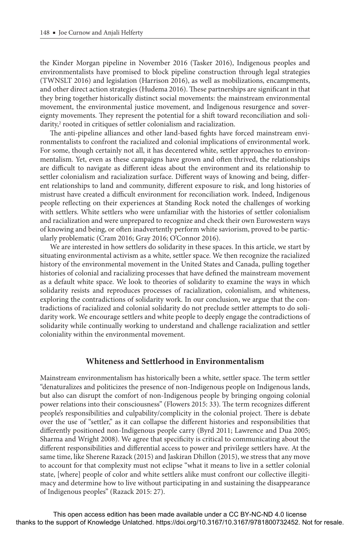the Kinder Morgan pipeline in November 2016 (Tasker 2016), Indigenous peoples and environmentalists have promised to block pipeline construction through legal strategies (TWNSLT 2016) and legislation (Harrison 2016), as well as mobilizations, encampments, and other direct action strategies (Hudema 2016). These partnerships are significant in that they bring together historically distinct social movements: the mainstream environmental movement, the environmental justice movement, and Indigenous resurgence and sovereignty movements. They represent the potential for a shift toward reconciliation and solidarity,<sup>2</sup> rooted in critiques of settler colonialism and racialization.

The anti-pipeline alliances and other land-based fights have forced mainstream environmentalists to confront the racialized and colonial implications of environmental work. For some, though certainly not all, it has decentered white, settler approaches to environmentalism. Yet, even as these campaigns have grown and often thrived, the relationships are difficult to navigate as different ideas about the environment and its relationship to settler colonialism and racialization surface. Different ways of knowing and being, different relationships to land and community, different exposure to risk, and long histories of mistrust have created a difficult environment for reconciliation work. Indeed, Indigenous people reflecting on their experiences at Standing Rock noted the challenges of working with settlers. White settlers who were unfamiliar with the histories of settler colonialism and racialization and were unprepared to recognize and check their own Eurowestern ways of knowing and being, or often inadvertently perform white saviorism, proved to be particularly problematic (Cram 2016; Gray 2016; O'Connor 2016).

We are interested in how settlers do solidarity in these spaces. In this article, we start by situating environmental activism as a white, settler space. We then recognize the racialized history of the environmental movement in the United States and Canada, pulling together histories of colonial and racializing processes that have defined the mainstream movement as a default white space. We look to theories of solidarity to examine the ways in which solidarity resists and reproduces processes of racialization, colonialism, and whiteness, exploring the contradictions of solidarity work. In our conclusion, we argue that the contradictions of racialized and colonial solidarity do not preclude settler attempts to do solidarity work. We encourage settlers and white people to deeply engage the contradictions of solidarity while continually working to understand and challenge racialization and settler coloniality within the environmental movement.

#### **Whiteness and Settlerhood in Environmentalism**

Mainstream environmentalism has historically been a white, settler space. The term settler "denaturalizes and politicizes the presence of non-Indigenous people on Indigenous lands, but also can disrupt the comfort of non-Indigenous people by bringing ongoing colonial power relations into their consciousness" (Flowers 2015: 33). The term recognizes different people's responsibilities and culpability/complicity in the colonial project. There is debate over the use of "settler," as it can collapse the different histories and responsibilities that differently positioned non-Indigenous people carry (Byrd 2011; Lawrence and Dua 2005; Sharma and Wright 2008). We agree that specificity is critical to communicating about the different responsibilities and differential access to power and privilege settlers have. At the same time, like Sherene Razack (2015) and Jaskiran Dhillon (2015), we stress that any move to account for that complexity must not eclipse "what it means to live in a settler colonial state, [where] people of color and white settlers alike must confront our collective illegitimacy and determine how to live without participating in and sustaining the disappearance of Indigenous peoples" (Razack 2015: 27).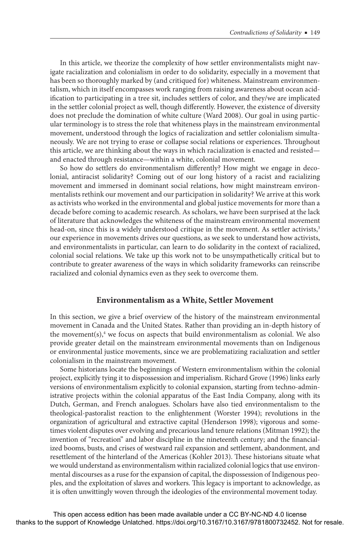In this article, we theorize the complexity of how settler environmentalists might navigate racialization and colonialism in order to do solidarity, especially in a movement that has been so thoroughly marked by (and critiqued for) whiteness. Mainstream environmentalism, which in itself encompasses work ranging from raising awareness about ocean acidification to participating in a tree sit, includes settlers of color, and they/we are implicated in the settler colonial project as well, though differently. However, the existence of diversity does not preclude the domination of white culture (Ward 2008). Our goal in using particular terminology is to stress the role that whiteness plays in the mainstream environmental movement, understood through the logics of racialization and settler colonialism simultaneously. We are not trying to erase or collapse social relations or experiences. Throughout this article, we are thinking about the ways in which racialization is enacted and resisted and enacted through resistance—within a white, colonial movement.

So how do settlers do environmentalism differently? How might we engage in decolonial, antiracist solidarity? Coming out of our long history of a racist and racializing movement and immersed in dominant social relations, how might mainstream environmentalists rethink our movement and our participation in solidarity? We arrive at this work as activists who worked in the environmental and global justice movements for more than a decade before coming to academic research. As scholars, we have been surprised at the lack of literature that acknowledges the whiteness of the mainstream environmental movement head-on, since this is a widely understood critique in the movement. As settler activists,<sup>3</sup> our experience in movements drives our questions, as we seek to understand how activists, and environmentalists in particular, can learn to do solidarity in the context of racialized, colonial social relations. We take up this work not to be unsympathetically critical but to contribute to greater awareness of the ways in which solidarity frameworks can reinscribe racialized and colonial dynamics even as they seek to overcome them.

#### **Environmentalism as a White, Settler Movement**

In this section, we give a brief overview of the history of the mainstream environmental movement in Canada and the United States. Rather than providing an in-depth history of the movement(s), $4$  we focus on aspects that build environmentalism as colonial. We also provide greater detail on the mainstream environmental movements than on Indigenous or environmental justice movements, since we are problematizing racialization and settler colonialism in the mainstream movement.

Some historians locate the beginnings of Western environmentalism within the colonial project, explicitly tying it to dispossession and imperialism. Richard Grove (1996) links early versions of environmentalism explicitly to colonial expansion, starting from techno-administrative projects within the colonial apparatus of the East India Company, along with its Dutch, German, and French analogues. Scholars have also tied environmentalism to the theological-pastoralist reaction to the enlightenment (Worster 1994); revolutions in the organization of agricultural and extractive capital (Henderson 1998); vigorous and sometimes violent disputes over evolving and precarious land tenure relations (Mitman 1992); the invention of "recreation" and labor discipline in the nineteenth century; and the financialized booms, busts, and crises of westward rail expansion and settlement, abandonment, and resettlement of the hinterland of the Americas (Kohler 2013). These historians situate what we would understand as environmentalism within racialized colonial logics that use environmental discourses as a ruse for the expansion of capital, the dispossession of Indigenous peoples, and the exploitation of slaves and workers. This legacy is important to acknowledge, as it is often unwittingly woven through the ideologies of the environmental movement today.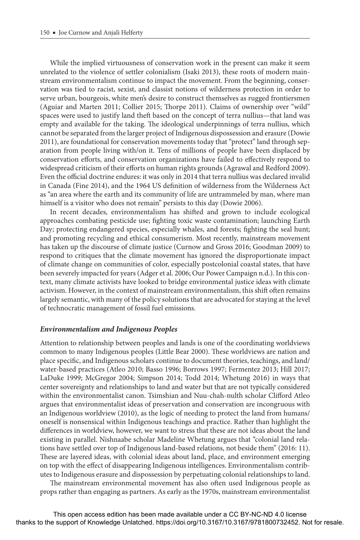While the implied virtuousness of conservation work in the present can make it seem unrelated to the violence of settler colonialism (Isaki 2013), these roots of modern mainstream environmentalism continue to impact the movement. From the beginning, conservation was tied to racist, sexist, and classist notions of wilderness protection in order to serve urban, bourgeois, white men's desire to construct themselves as rugged frontiersmen (Aguiar and Marten 2011; Collier 2015; Thorpe 2011). Claims of ownership over "wild" spaces were used to justify land theft based on the concept of terra nullius—that land was empty and available for the taking. The ideological underpinnings of terra nullius, which cannot be separated from the larger project of Indigenous dispossession and erasure (Dowie 2011), are foundational for conservation movements today that "protect" land through separation from people living with/on it. Tens of millions of people have been displaced by conservation efforts, and conservation organizations have failed to effectively respond to widespread criticism of their efforts on human rights grounds (Agrawal and Redford 2009). Even the official doctrine endures: it was only in 2014 that terra nullius was declared invalid in Canada (Fine 2014), and the 1964 US definition of wilderness from the Wilderness Act as "an area where the earth and its community of life are untrammeled by man, where man himself is a visitor who does not remain" persists to this day (Dowie 2006).

In recent decades, environmentalism has shifted and grown to include ecological approaches combating pesticide use; fighting toxic waste contamination; launching Earth Day; protecting endangered species, especially whales, and forests; fighting the seal hunt; and promoting recycling and ethical consumerism. Most recently, mainstream movement has taken up the discourse of climate justice (Curnow and Gross 2016; Goodman 2009) to respond to critiques that the climate movement has ignored the disproportionate impact of climate change on communities of color, especially postcolonial coastal states, that have been severely impacted for years (Adger et al. 2006; Our Power Campaign n.d.). In this context, many climate activists have looked to bridge environmental justice ideas with climate activism. However, in the context of mainstream environmentalism, this shift often remains largely semantic, with many of the policy solutions that are advocated for staying at the level of technocratic management of fossil fuel emissions.

#### *Environmentalism and Indigenous Peoples*

Attention to relationship between peoples and lands is one of the coordinating worldviews common to many Indigenous peoples (Little Bear 2000). These worldviews are nation and place specific, and Indigenous scholars continue to document theories, teachings, and land/ water-based practices (Atleo 2010; Basso 1996; Borrows 1997; Fermentez 2013; Hill 2017; LaDuke 1999; McGregor 2004; Simpson 2014; Todd 2014; Whetung 2016) in ways that center sovereignty and relationships to land and water but that are not typically considered within the environmentalist canon. Tsimshian and Nuu-chah-nulth scholar Clifford Atleo argues that environmentalist ideas of preservation and conservation are incongruous with an Indigenous worldview (2010), as the logic of needing to protect the land from humans/ oneself is nonsensical within Indigenous teachings and practice. Rather than highlight the differences in worldview, however, we want to stress that these are not ideas about the land existing in parallel. Nishnaabe scholar Madeline Whetung argues that "colonial land relations have settled over top of Indigenous land-based relations, not beside them" (2016: 11). These are layered ideas, with colonial ideas about land, place, and environment emerging on top with the effect of disappearing Indigenous intelligences. Environmentalism contributes to Indigenous erasure and dispossession by perpetuating colonial relationships to land.

The mainstream environmental movement has also often used Indigenous people as props rather than engaging as partners. As early as the 1970s, mainstream environmentalist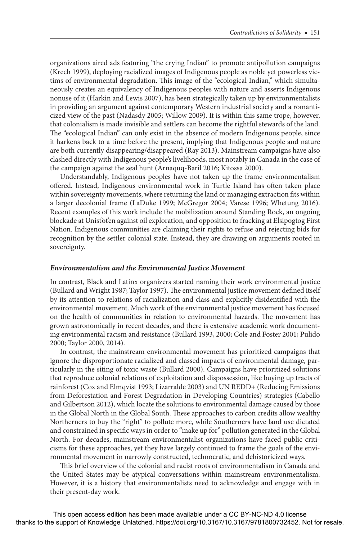organizations aired ads featuring "the crying Indian" to promote antipollution campaigns (Krech 1999), deploying racialized images of Indigenous people as noble yet powerless victims of environmental degradation. This image of the "ecological Indian," which simultaneously creates an equivalency of Indigenous peoples with nature and asserts Indigenous nonuse of it (Harkin and Lewis 2007), has been strategically taken up by environmentalists in providing an argument against contemporary Western industrial society and a romanticized view of the past (Nadasdy 2005; Willow 2009). It is within this same trope, however, that colonialism is made invisible and settlers can become the rightful stewards of the land. The "ecological Indian" can only exist in the absence of modern Indigenous people, since it harkens back to a time before the present, implying that Indigenous people and nature are both currently disappearing/disappeared (Ray 2013). Mainstream campaigns have also clashed directly with Indigenous people's livelihoods, most notably in Canada in the case of the campaign against the seal hunt (Arnaquq-Baril 2016; Kitossa 2000).

Understandably, Indigenous peoples have not taken up the frame environmentalism offered. Instead, Indigenous environmental work in Turtle Island has often taken place within sovereignty movements, where returning the land or managing extraction fits within a larger decolonial frame (LaDuke 1999; McGregor 2004; Varese 1996; Whetung 2016). Recent examples of this work include the mobilization around Standing Rock, an ongoing blockade at Unist'ot'en against oil exploration, and opposition to fracking at Elsipogtog First Nation. Indigenous communities are claiming their rights to refuse and rejecting bids for recognition by the settler colonial state. Instead, they are drawing on arguments rooted in sovereignty.

#### *Environmentalism and the Environmental Justice Movement*

In contrast, Black and Latinx organizers started naming their work environmental justice (Bullard and Wright 1987; Taylor 1997). The environmental justice movement defined itself by its attention to relations of racialization and class and explicitly disidentified with the environmental movement. Much work of the environmental justice movement has focused on the health of communities in relation to environmental hazards. The movement has grown astronomically in recent decades, and there is extensive academic work documenting environmental racism and resistance (Bullard 1993, 2000; Cole and Foster 2001; Pulido 2000; Taylor 2000, 2014).

In contrast, the mainstream environmental movement has prioritized campaigns that ignore the disproportionate racialized and classed impacts of environmental damage, particularly in the siting of toxic waste (Bullard 2000). Campaigns have prioritized solutions that reproduce colonial relations of exploitation and dispossession, like buying up tracts of rainforest (Cox and Elmqvist 1993; Lizarralde 2003) and UN REDD+ (Reducing Emissions from Deforestation and Forest Degradation in Developing Countries) strategies (Cabello and Gilbertson 2012), which locate the solutions to environmental damage caused by those in the Global North in the Global South. These approaches to carbon credits allow wealthy Northerners to buy the "right" to pollute more, while Southerners have land use dictated and constrained in specific ways in order to "make up for" pollution generated in the Global North. For decades, mainstream environmentalist organizations have faced public criticisms for these approaches, yet they have largely continued to frame the goals of the environmental movement in narrowly constructed, technocratic, and dehistoricized ways.

This brief overview of the colonial and racist roots of environmentalism in Canada and the United States may be atypical conversations within mainstream environmentalism. However, it is a history that environmentalists need to acknowledge and engage with in their present-day work.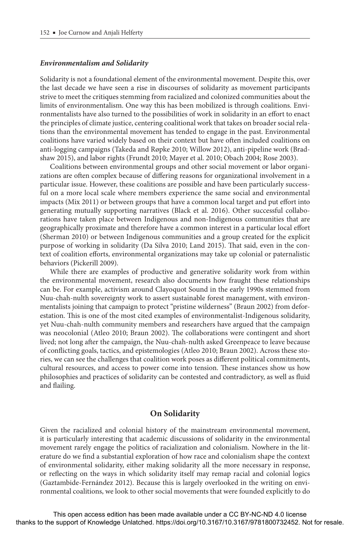#### *Environmentalism and Solidarity*

Solidarity is not a foundational element of the environmental movement. Despite this, over the last decade we have seen a rise in discourses of solidarity as movement participants strive to meet the critiques stemming from racialized and colonized communities about the limits of environmentalism. One way this has been mobilized is through coalitions. Environmentalists have also turned to the possibilities of work in solidarity in an effort to enact the principles of climate justice, centering coalitional work that takes on broader social relations than the environmental movement has tended to engage in the past. Environmental coalitions have varied widely based on their context but have often included coalitions on anti-logging campaigns (Takeda and Røpke 2010; Willow 2012), anti-pipeline work (Bradshaw 2015), and labor rights (Frundt 2010; Mayer et al. 2010; Obach 2004; Rose 2003).

Coalitions between environmental groups and other social movement or labor organizations are often complex because of differing reasons for organizational involvement in a particular issue. However, these coalitions are possible and have been particularly successful on a more local scale where members experience the same social and environmental impacts (Mix 2011) or between groups that have a common local target and put effort into generating mutually supporting narratives (Black et al. 2016). Other successful collaborations have taken place between Indigenous and non-Indigenous communities that are geographically proximate and therefore have a common interest in a particular local effort (Sherman 2010) or between Indigenous communities and a group created for the explicit purpose of working in solidarity (Da Silva 2010; Land 2015). That said, even in the context of coalition efforts, environmental organizations may take up colonial or paternalistic behaviors (Pickerill 2009).

While there are examples of productive and generative solidarity work from within the environmental movement, research also documents how fraught these relationships can be. For example, activism around Clayoquot Sound in the early 1990s stemmed from Nuu-chah-nulth sovereignty work to assert sustainable forest management, with environmentalists joining that campaign to protect "pristine wilderness" (Braun 2002) from deforestation. This is one of the most cited examples of environmentalist-Indigenous solidarity, yet Nuu-chah-nulth community members and researchers have argued that the campaign was neocolonial (Atleo 2010; Braun 2002). The collaborations were contingent and short lived; not long after the campaign, the Nuu-chah-nulth asked Greenpeace to leave because of conflicting goals, tactics, and epistemologies (Atleo 2010; Braun 2002). Across these stories, we can see the challenges that coalition work poses as different political commitments, cultural resources, and access to power come into tension. These instances show us how philosophies and practices of solidarity can be contested and contradictory, as well as fluid and flailing.

#### **On Solidarity**

Given the racialized and colonial history of the mainstream environmental movement, it is particularly interesting that academic discussions of solidarity in the environmental movement rarely engage the politics of racialization and colonialism. Nowhere in the literature do we find a substantial exploration of how race and colonialism shape the context of environmental solidarity, either making solidarity all the more necessary in response, or reflecting on the ways in which solidarity itself may remap racial and colonial logics (Gaztambide-Fernández 2012). Because this is largely overlooked in the writing on environmental coalitions, we look to other social movements that were founded explicitly to do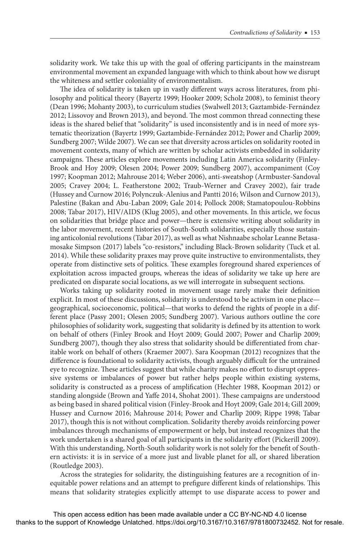solidarity work. We take this up with the goal of offering participants in the mainstream environmental movement an expanded language with which to think about how we disrupt the whiteness and settler coloniality of environmentalism.

The idea of solidarity is taken up in vastly different ways across literatures, from philosophy and political theory (Bayertz 1999; Hooker 2009; Scholz 2008), to feminist theory (Dean 1996; Mohanty 2003), to curriculum studies (Swalwell 2013; Gaztambide-Fernández 2012; Lissovoy and Brown 2013), and beyond. The most common thread connecting these ideas is the shared belief that "solidarity" is used inconsistently and is in need of more systematic theorization (Bayertz 1999; Gaztambide-Fernández 2012; Power and Charlip 2009; Sundberg 2007; Wilde 2007). We can see that diversity across articles on solidarity rooted in movement contexts, many of which are written by scholar activists embedded in solidarity campaigns. These articles explore movements including Latin America solidarity (Finley-Brook and Hoy 2009; Olesen 2004; Power 2009; Sundberg 2007), accompaniment (Coy 1997; Koopman 2012; Mahrouse 2014; Weber 2006), anti-sweatshop (Armbuster-Sandoval 2005; Cravey 2004; L. Featherstone 2002; Traub-Werner and Cravey 2002), fair trade (Hussey and Curnow 2016; Polynczuk-Alenius and Pantti 2016; Wilson and Curnow 2013), Palestine (Bakan and Abu-Laban 2009; Gale 2014; Pollock 2008; Stamatopoulou-Robbins 2008; Tabar 2017), HIV/AIDS (Klug 2005), and other movements. In this article, we focus on solidarities that bridge place and power—there is extensive writing about solidarity in the labor movement, recent histories of South-South solidarities, especially those sustaining anticolonial revolutions (Tabar 2017), as well as what Nishnaabe scholar Leanne Betasamosake Simpson (2017) labels "co-resistors," including Black-Brown solidarity (Tuck et al. 2014). While these solidarity praxes may prove quite instructive to environmentalists, they operate from distinctive sets of politics. These examples foreground shared experiences of exploitation across impacted groups, whereas the ideas of solidarity we take up here are predicated on disparate social locations, as we will interrogate in subsequent sections.

Works taking up solidarity rooted in movement usage rarely make their definition explicit. In most of these discussions, solidarity is understood to be activism in one place geographical, socioeconomic, political—that works to defend the rights of people in a different place (Passy 2001; Olesen 2005; Sundberg 2007). Various authors outline the core philosophies of solidarity work, suggesting that solidarity is defined by its attention to work on behalf of others (Finley Brook and Hoyt 2009; Gould 2007; Power and Charlip 2009; Sundberg 2007), though they also stress that solidarity should be differentiated from charitable work on behalf of others (Kraemer 2007). Sara Koopman (2012) recognizes that the difference is foundational to solidarity activists, though arguably difficult for the untrained eye to recognize. These articles suggest that while charity makes no effort to disrupt oppressive systems or imbalances of power but rather helps people within existing systems, solidarity is constructed as a process of amplification (Hechter 1988, Koopman 2012) or standing alongside (Brown and Yaffe 2014, Shohat 2001). These campaigns are understood as being based in shared political vision (Finley-Brook and Hoyt 2009; Gale 2014; Gill 2009; Hussey and Curnow 2016; Mahrouse 2014; Power and Charlip 2009; Rippe 1998; Tabar 2017), though this is not without complication. Solidarity thereby avoids reinforcing power imbalances through mechanisms of empowerment or help, but instead recognizes that the work undertaken is a shared goal of all participants in the solidarity effort (Pickerill 2009). With this understanding, North-South solidarity work is not solely for the benefit of Southern activists: it is in service of a more just and livable planet for all, or shared liberation (Routledge 2003).

Across the strategies for solidarity, the distinguishing features are a recognition of inequitable power relations and an attempt to prefigure different kinds of relationships. This means that solidarity strategies explicitly attempt to use disparate access to power and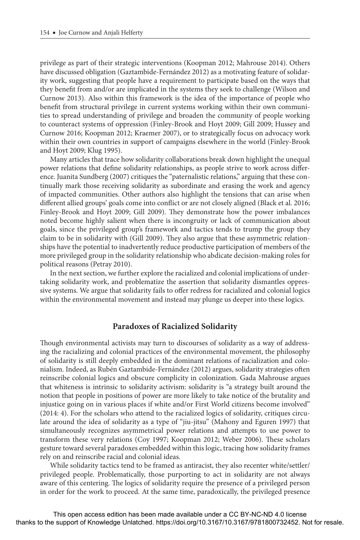privilege as part of their strategic interventions (Koopman 2012; Mahrouse 2014). Others have discussed obligation (Gaztambide-Fernández 2012) as a motivating feature of solidarity work, suggesting that people have a requirement to participate based on the ways that they benefit from and/or are implicated in the systems they seek to challenge (Wilson and Curnow 2013). Also within this framework is the idea of the importance of people who benefit from structural privilege in current systems working within their own communities to spread understanding of privilege and broaden the community of people working to counteract systems of oppression (Finley-Brook and Hoyt 2009; Gill 2009; Hussey and Curnow 2016; Koopman 2012; Kraemer 2007), or to strategically focus on advocacy work within their own countries in support of campaigns elsewhere in the world (Finley-Brook and Hoyt 2009; Klug 1995).

Many articles that trace how solidarity collaborations break down highlight the unequal power relations that define solidarity relationships, as people strive to work across difference. Juanita Sundberg (2007) critiques the "paternalistic relations," arguing that these continually mark those receiving solidarity as subordinate and erasing the work and agency of impacted communities. Other authors also highlight the tensions that can arise when different allied groups' goals come into conflict or are not closely aligned (Black et al. 2016; Finley-Brook and Hoyt 2009; Gill 2009). They demonstrate how the power imbalances noted become highly salient when there is incongruity or lack of communication about goals, since the privileged group's framework and tactics tends to trump the group they claim to be in solidarity with (Gill 2009). They also argue that these asymmetric relationships have the potential to inadvertently reduce productive participation of members of the more privileged group in the solidarity relationship who abdicate decision-making roles for political reasons (Petray 2010).

In the next section, we further explore the racialized and colonial implications of undertaking solidarity work, and problematize the assertion that solidarity dismantles oppressive systems. We argue that solidarity fails to offer redress for racialized and colonial logics within the environmental movement and instead may plunge us deeper into these logics.

## **Paradoxes of Racialized Solidarity**

Though environmental activists may turn to discourses of solidarity as a way of addressing the racializing and colonial practices of the environmental movement, the philosophy of solidarity is still deeply embedded in the dominant relations of racialization and colonialism. Indeed, as Rubén Gaztambide-Fernández (2012) argues, solidarity strategies often reinscribe colonial logics and obscure complicity in colonization. Gada Mahrouse argues that whiteness is intrinsic to solidarity activism: solidarity is "a strategy built around the notion that people in positions of power are more likely to take notice of the brutality and injustice going on in various places if white and/or First World citizens become involved" (2014: 4). For the scholars who attend to the racialized logics of solidarity, critiques circulate around the idea of solidarity as a type of "jiu-jitsu" (Mahony and Eguren 1997) that simultaneously recognizes asymmetrical power relations and attempts to use power to transform these very relations (Coy 1997; Koopman 2012; Weber 2006). These scholars gesture toward several paradoxes embedded within this logic, tracing how solidarity frames rely on and reinscribe racial and colonial ideas.

While solidarity tactics tend to be framed as antiracist, they also recenter white/settler/ privileged people. Problematically, those purporting to act in solidarity are not always aware of this centering. The logics of solidarity require the presence of a privileged person in order for the work to proceed. At the same time, paradoxically, the privileged presence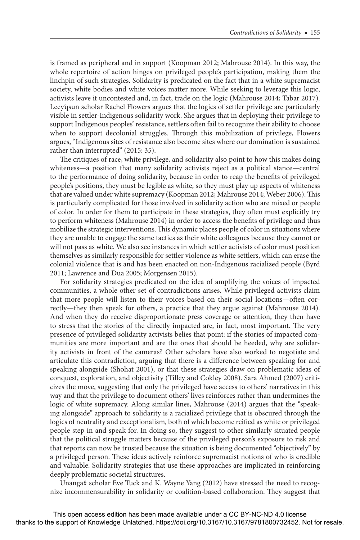is framed as peripheral and in support (Koopman 2012; Mahrouse 2014). In this way, the whole repertoire of action hinges on privileged people's participation, making them the linchpin of such strategies. Solidarity is predicated on the fact that in a white supremacist society, white bodies and white voices matter more. While seeking to leverage this logic, activists leave it uncontested and, in fact, trade on the logic (Mahrouse 2014; Tabar 2017). Leey'qsun scholar Rachel Flowers argues that the logics of settler privilege are particularly visible in settler-Indigenous solidarity work. She argues that in deploying their privilege to support Indigenous peoples' resistance, settlers often fail to recognize their ability to choose when to support decolonial struggles. Through this mobilization of privilege, Flowers argues, "Indigenous sites of resistance also become sites where our domination is sustained rather than interrupted" (2015: 35).

The critiques of race, white privilege, and solidarity also point to how this makes doing whiteness—a position that many solidarity activists reject as a political stance—central to the performance of doing solidarity, because in order to reap the benefits of privileged people's positions, they must be legible as white, so they must play up aspects of whiteness that are valued under white supremacy (Koopman 2012; Mahrouse 2014; Weber 2006). This is particularly complicated for those involved in solidarity action who are mixed or people of color. In order for them to participate in these strategies, they often must explicitly try to perform whiteness (Mahrouse 2014) in order to access the benefits of privilege and thus mobilize the strategic interventions. This dynamic places people of color in situations where they are unable to engage the same tactics as their white colleagues because they cannot or will not pass as white. We also see instances in which settler activists of color must position themselves as similarly responsible for settler violence as white settlers, which can erase the colonial violence that is and has been enacted on non-Indigenous racialized people (Byrd 2011; Lawrence and Dua 2005; Morgensen 2015).

For solidarity strategies predicated on the idea of amplifying the voices of impacted communities, a whole other set of contradictions arises. While privileged activists claim that more people will listen to their voices based on their social locations—often correctly—they then speak for others, a practice that they argue against (Mahrouse 2014). And when they do receive disproportionate press coverage or attention, they then have to stress that the stories of the directly impacted are, in fact, most important. The very presence of privileged solidarity activists belies that point: if the stories of impacted communities are more important and are the ones that should be heeded, why are solidarity activists in front of the cameras? Other scholars have also worked to negotiate and articulate this contradiction, arguing that there is a difference between speaking for and speaking alongside (Shohat 2001), or that these strategies draw on problematic ideas of conquest, exploration, and objectivity (Tilley and Cokley 2008). Sara Ahmed (2007) criticizes the move, suggesting that only the privileged have access to others' narratives in this way and that the privilege to document others' lives reinforces rather than undermines the logic of white supremacy. Along similar lines, Mahrouse (2014) argues that the "speaking alongside" approach to solidarity is a racialized privilege that is obscured through the logics of neutrality and exceptionalism, both of which become reified as white or privileged people step in and speak for. In doing so, they suggest to other similarly situated people that the political struggle matters because of the privileged person's exposure to risk and that reports can now be trusted because the situation is being documented "objectively" by a privileged person. These ideas actively reinforce supremacist notions of who is credible and valuable. Solidarity strategies that use these approaches are implicated in reinforcing deeply problematic societal structures.

Unangax̂ scholar Eve Tuck and K. Wayne Yang (2012) have stressed the need to recognize incommensurability in solidarity or coalition-based collaboration. They suggest that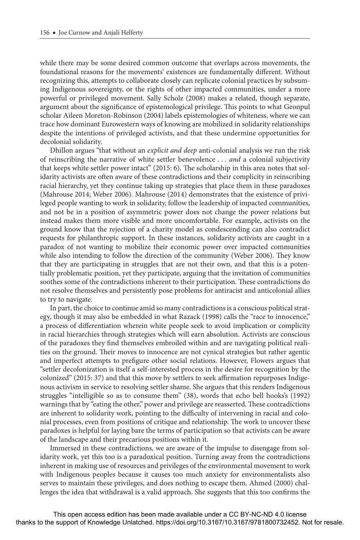while there may be some desired common outcome that overlaps across movements, the foundational reasons for the movements' existences are fundamentally different. Without recognizing this, attempts to collaborate closely can replicate colonial practices by subsuming Indigenous sovereignty, or the rights of other impacted communities, under a more powerful or privileged movement. Sally Scholz (2008) makes a related, though separate, argument about the significance of epistemological privilege. This points to what Geonpul scholar Aileen Moreton-Robinson (2004) labels epistemologies of whiteness, where we can trace how dominant Eurowestern ways of knowing are mobilized in solidarity relationships despite the intentions of privileged activists, and that these undermine opportunities for decolonial solidarity.

Dhillon argues "that without an *explicit and deep* anti-colonial analysis we run the risk of reinscribing the narrative of white settler benevolence . . . *and* a colonial subjectivity that keeps white settler power intact" (2015: 6). The scholarship in this area notes that solidarity activists are often aware of these contradictions and their complicity in reinscribing racial hierarchy, yet they continue taking up strategies that place them in these paradoxes (Mahrouse 2014; Weber 2006). Mahrouse (2014) demonstrates that the existence of privileged people wanting to work in solidarity, follow the leadership of impacted communities, and not be in a position of asymmetric power does not change the power relations but instead makes them more visible and more uncomfortable. For example, activists on the ground know that the rejection of a charity model as condescending can also contradict requests for philanthropic support. In these instances, solidarity activists are caught in a paradox of not wanting to mobilize their economic power over impacted communities while also intending to follow the direction of the community (Weber 2006). They know that they are participating in struggles that are not their own, and that this is a potentially problematic position, yet they participate, arguing that the invitation of communities soothes some of the contradictions inherent to their participation. These contradictions do not resolve themselves and persistently pose problems for antiracist and anticolonial allies to try to navigate.

In part, the choice to continue amid so many contradictions is a conscious political strategy, though it may also be embedded in what Razack (1998) calls the "race to innocence," a process of differentiation wherein white people seek to avoid implication or complicity in racial hierarchies through strategies which will earn absolution. Activists are conscious of the paradoxes they find themselves embroiled within and are navigating political realities on the ground. Their moves to innocence are not cynical strategies but rather agentic and imperfect attempts to prefigure other social relations. However, Flowers argues that "settler decolonization is itself a self-interested process in the desire for recognition by the colonized" (2015: 37) and that this move by settlers to seek affirmation repurposes Indigenous activism in service to resolving settler shame. She argues that this renders Indigenous struggles "intelligible so as to consume them" (38), words that echo bell hooks's (1992) warnings that by "eating the other," power and privilege are reasserted. These contradictions are inherent to solidarity work, pointing to the difficulty of intervening in racial and colonial processes, even from positions of critique and relationship. The work to uncover these paradoxes is helpful for laying bare the terms of participation so that activists can be aware of the landscape and their precarious positions within it.

Immersed in these contradictions, we are aware of the impulse to disengage from solidarity work, yet this too is a paradoxical position. Turning away from the contradictions inherent in making use of resources and privileges of the environmental movement to work with Indigenous peoples because it causes too much anxiety for environmentalists also serves to maintain these privileges, and does nothing to escape them. Ahmed (2000) challenges the idea that withdrawal is a valid approach. She suggests that this too confirms the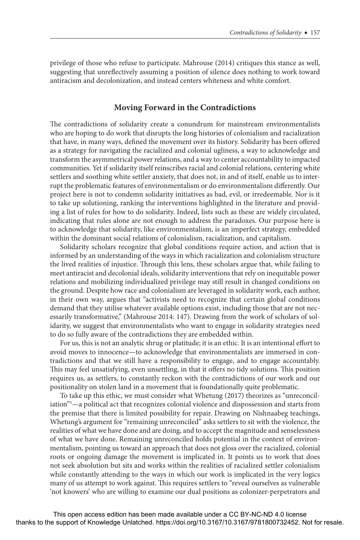privilege of those who refuse to participate. Mahrouse (2014) critiques this stance as well, suggesting that unreflectively assuming a position of silence does nothing to work toward antiracism and decolonization, and instead centers whiteness and white comfort.

### **Moving Forward in the Contradictions**

The contradictions of solidarity create a conundrum for mainstream environmentalists who are hoping to do work that disrupts the long histories of colonialism and racialization that have, in many ways, defined the movement over its history. Solidarity has been offered as a strategy for navigating the racialized and colonial ugliness, a way to acknowledge and transform the asymmetrical power relations, and a way to center accountability to impacted communities. Yet if solidarity itself reinscribes racial and colonial relations, centering white settlers and soothing white settler anxiety, that does not, in and of itself, enable us to interrupt the problematic features of environmentalism or do environmentalism differently. Our project here is not to condemn solidarity initiatives as bad, evil, or irredeemable. Nor is it to take up solutioning, ranking the interventions highlighted in the literature and providing a list of rules for how to do solidarity. Indeed, lists such as these are widely circulated, indicating that rules alone are not enough to address the paradoxes. Our purpose here is to acknowledge that solidarity, like environmentalism, is an imperfect strategy, embedded within the dominant social relations of colonialism, racialization, and capitalism.

Solidarity scholars recognize that global conditions require action, and action that is informed by an understanding of the ways in which racialization and colonialism structure the lived realities of injustice. Through this lens, these scholars argue that, while failing to meet antiracist and decolonial ideals, solidarity interventions that rely on inequitable power relations and mobilizing individualized privilege may still result in changed conditions on the ground. Despite how race and colonialism are leveraged in solidarity work, each author, in their own way, argues that "activists need to recognize that certain global conditions demand that they utilise whatever available options exist, including those that are not necessarily transformative," (Mahrouse 2014: 147). Drawing from the work of scholars of solidarity, we suggest that environmentalists who want to engage in solidarity strategies need to do so fully aware of the contradictions they are embedded within.

For us, this is not an analytic shrug or platitude; it is an ethic. It is an intentional effort to avoid moves to innocence—to acknowledge that environmentalists are immersed in contradictions and that we still have a responsibility to engage, and to engage accountably. This may feel unsatisfying, even unsettling, in that it offers no tidy solutions. This position requires us, as settlers, to constantly reckon with the contradictions of our work and our positionality on stolen land in a movement that is foundationally quite problematic.

To take up this ethic, we must consider what Whetung (2017) theorizes as "unreconciliation"5 —a political act that recognizes colonial violence and dispossession and starts from the premise that there is limited possibility for repair. Drawing on Nishnaabeg teachings, Whetung's argument for "remaining unreconciled" asks settlers to sit with the violence, the realities of what we have done and are doing, and to accept the magnitude and senselessness of what we have done. Remaining unreconciled holds potential in the context of environmentalism, pointing us toward an approach that does not gloss over the racialized, colonial roots or ongoing damage the movement is implicated in. It points us to work that does not seek absolution but sits and works within the realities of racialized settler colonialism while constantly attending to the ways in which our work is implicated in the very logics many of us attempt to work against. This requires settlers to "reveal ourselves as vulnerable 'not knowers' who are willing to examine our dual positions as colonizer-perpetrators and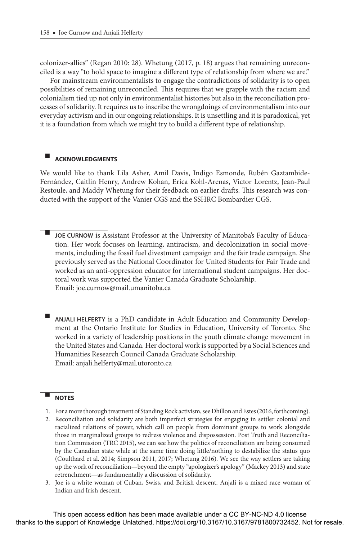colonizer-allies" (Regan 2010: 28). Whetung (2017, p. 18) argues that remaining unreconciled is a way "to hold space to imagine a different type of relationship from where we are."

For mainstream environmentalists to engage the contradictions of solidarity is to open possibilities of remaining unreconciled. This requires that we grapple with the racism and colonialism tied up not only in environmentalist histories but also in the reconciliation processes of solidarity. It requires us to inscribe the wrongdoings of environmentalism into our everyday activism and in our ongoing relationships. It is unsettling and it is paradoxical, yet it is a foundation from which we might try to build a different type of relationship.

#### n **ACKNOWLEDGMENTS**

We would like to thank Lila Asher, Amil Davis, Indigo Esmonde, Rubén Gaztambide-Fernández, Caitlin Henry, Andrew Kohan, Erica Kohl-Arenas, Victor Lorentz, Jean-Paul Restoule, and Maddy Whetung for their feedback on earlier drafts. This research was conducted with the support of the Vanier CGS and the SSHRC Bombardier CGS.

JOE CURNOW is Assistant Professor at the University of Manitoba's Faculty of Education. Her work focuses on learning, antiracism, and decolonization in social movements, including the fossil fuel divestment campaign and the fair trade campaign. She previously served as the National Coordinator for United Students for Fair Trade and worked as an anti-oppression educator for international student campaigns. Her doctoral work was supported the Vanier Canada Graduate Scholarship. Email: joe.curnow@mail.umanitoba.ca

n **ANJALI HELFERTY** is a PhD candidate in Adult Education and Community Development at the Ontario Institute for Studies in Education, University of Toronto. She worked in a variety of leadership positions in the youth climate change movement in the United States and Canada. Her doctoral work is supported by a Social Sciences and Humanities Research Council Canada Graduate Scholarship. Email: anjali.helferty@mail.utoronto.ca

## **NOTES**

- 1. For a more thorough treatment of Standing Rock activism, see Dhillon and Estes (2016, forthcoming).
- 2. Reconciliation and solidarity are both imperfect strategies for engaging in settler colonial and racialized relations of power, which call on people from dominant groups to work alongside those in marginalized groups to redress violence and dispossession. Post Truth and Reconciliation Commission (TRC 2015), we can see how the politics of reconciliation are being consumed by the Canadian state while at the same time doing little/nothing to destabilize the status quo (Coulthard et al. 2014; Simpson 2011, 2017; Whetung 2016). We see the way settlers are taking up the work of reconciliation—beyond the empty "apologizer's apology" (Mackey 2013) and state retrenchment—as fundamentally a discussion of solidarity.
- 3. Joe is a white woman of Cuban, Swiss, and British descent. Anjali is a mixed race woman of Indian and Irish descent.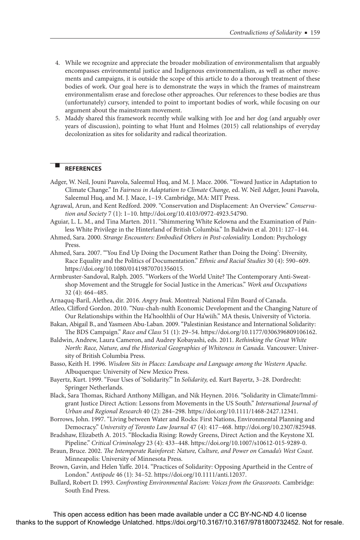- 4. While we recognize and appreciate the broader mobilization of environmentalism that arguably encompasses environmental justice and Indigenous environmentalism, as well as other movements and campaigns, it is outside the scope of this article to do a thorough treatment of these bodies of work. Our goal here is to demonstrate the ways in which the frames of mainstream environmentalism erase and foreclose other approaches. Our references to these bodies are thus (unfortunately) cursory, intended to point to important bodies of work, while focusing on our argument about the mainstream movement.
- 5. Maddy shared this framework recently while walking with Joe and her dog (and arguably over years of discussion), pointing to what Hunt and Holmes (2015) call relationships of everyday decolonization as sites for solidarity and radical theorization.

#### n **REFERENCES**

- Adger, W. Neil, Jouni Paavola, Saleemul Huq, and M. J. Mace. 2006. "Toward Justice in Adaptation to Climate Change." In *Fairness in Adaptation to Climate Change,* ed. W. Neil Adger, Jouni Paavola, Saleemul Huq, and M. J. Mace, 1–19. Cambridge, MA: MIT Press.
- Agrawal, Arun, and Kent Redford. 2009. "Conservation and Displacement: An Overview." *Conservation and Society* 7 (1): 1–10. http://doi.org/10.4103/0972-4923.54790.
- Aguiar, L. L. M., and Tina Marten. 2011. "Shimmering White Kelowna and the Examination of Painless White Privilege in the Hinterland of British Columbia." In Baldwin et al. 2011: 127–144.
- Ahmed, Sara. 2000. *Strange Encounters: Embodied Others in Post-coloniality.* London: Psychology Press.
- Ahmed, Sara. 2007. "'You End Up Doing the Document Rather than Doing the Doing': Diversity, Race Equality and the Politics of Documentation." *Ethnic and Racial Studies* 30 (4): 590–609. https://doi.org/10.1080/01419870701356015.
- Armbruster-Sandoval, Ralph. 2005. "Workers of the World Unite? The Contemporary Anti-Sweatshop Movement and the Struggle for Social Justice in the Americas." *Work and Occupations* 32 (4): 464–485.
- Arnaquq-Baril, Alethea, dir. 2016. *Angry Inuk.* Montreal: National Film Board of Canada.
- Atleo, Clifford Gordon. 2010. "Nuu-chah-nulth Economic Development and the Changing Nature of Our Relationships within the Ha'hoolthlii of Our Ha'wiih." MA thesis, University of Victoria.
- Bakan, Abigail B., and Yasmeen Abu-Laban. 2009. "Palestinian Resistance and International Solidarity: The BDS Campaign." *Race and Class* 51 (1): 29–54. https://doi.org/10.1177/0306396809106162.
- Baldwin, Andrew, Laura Cameron, and Audrey Kobayashi, eds. 2011. *Rethinking the Great White North: Race, Nature, and the Historical Geographies of Whiteness in Canada.* Vancouver: University of British Columbia Press.

Basso, Keith H. 1996. *Wisdom Sits in Places: Landscape and Language among the Western Apache.* Albuquerque: University of New Mexico Press.

- Bayertz, Kurt. 1999. "Four Uses of 'Solidarity.'" In *Solidarity,* ed. Kurt Bayertz, 3–28. Dordrecht: Springer Netherlands.
- Black, Sara Thomas, Richard Anthony Milligan, and Nik Heynen. 2016. "Solidarity in Climate/Immigrant Justice Direct Action: Lessons from Movements in the US South." *International Journal of Urban and Regional Research* 40 (2): 284–298. https://doi.org/10.1111/1468-2427.12341.
- Borrows, John. 1997. "Living between Water and Rocks: First Nations, Environmental Planning and Democracy." *University of Toronto Law Journal* 47 (4): 417–468. http://doi.org/10.2307/825948.
- Bradshaw, Elizabeth A. 2015. "Blockadia Rising: Rowdy Greens, Direct Action and the Keystone XL Pipeline." *Critical Criminology* 23 (4): 433–448. https://doi.org/10.1007/s10612-015-9289-0.
- Braun, Bruce. 2002. *The Intemperate Rainforest: Nature, Culture, and Power on Canada's West Coast.* Minneapolis: University of Minnesota Press.
- Brown, Gavin, and Helen Yaffe. 2014. "Practices of Solidarity: Opposing Apartheid in the Centre of London." *Antipode* 46 (1): 34–52. https://doi.org/10.1111/anti.12037.
- Bullard, Robert D. 1993. *Confronting Environmental Racism: Voices from the Grassroots.* Cambridge: South End Press.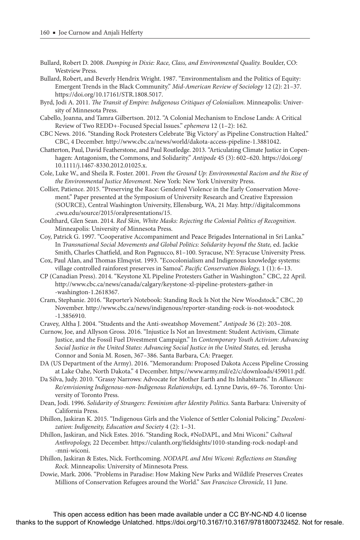- Bullard, Robert D. 2008. *Dumping in Dixie: Race, Class, and Environmental Quality.* Boulder, CO: Westview Press.
- Bullard, Robert, and Beverly Hendrix Wright. 1987. "Environmentalism and the Politics of Equity: Emergent Trends in the Black Community." *Mid-American Review of Sociology* 12 (2): 21–37. https://doi.org/10.17161/STR.1808.5017.
- Byrd, Jodi A. 2011. *The Transit of Empire: Indigenous Critiques of Colonialism.* Minneapolis: University of Minnesota Press.
- Cabello, Joanna, and Tamra Gilbertson. 2012. "A Colonial Mechanism to Enclose Lands: A Critical Review of Two REDD+-Focused Special Issues." *ephemera* 12 (1–2): 162.
- CBC News. 2016. "Standing Rock Protesters Celebrate 'Big Victory' as Pipeline Construction Halted." CBC, 4 December. http://www.cbc.ca/news/world/dakota-access-pipeline-1.3881042.
- Chatterton, Paul, David Featherstone, and Paul Routledge. 2013. "Articulating Climate Justice in Copenhagen: Antagonism, the Commons, and Solidarity." *Antipode* 45 (3): 602–620. https://doi.org/ 10.1111/j.1467-8330.2012.01025.x.
- Cole, Luke W., and Sheila R. Foster. 2001. *From the Ground Up: Environmental Racism and the Rise of the Environmental Justice Movement.* New York: New York University Press.
- Collier, Patience. 2015. "Preserving the Race: Gendered Violence in the Early Conservation Movement." Paper presented at the Symposium of University Research and Creative Expression (SOURCE), Central Washington University, Ellensburg, WA, 21 May. http://digitalcommons .cwu.edu/source/2015/oralpresentations/15.
- Coulthard, Glen Sean. 2014. *Red Skin, White Masks: Rejecting the Colonial Politics of Recognition.* Minneapolis: University of Minnesota Press.
- Coy, Patrick G. 1997. "Cooperative Accompaniment and Peace Brigades International in Sri Lanka." In *Transnational Social Movements and Global Politics: Solidarity beyond the State,* ed. Jackie Smith, Charles Chatfield, and Ron Pagnucco, 81–100. Syracuse, NY: Syracuse University Press.
- Cox, Paul Alan, and Thomas Elmqvist. 1993. "Ecocolonialism and Indigenous knowledge systems: village controlled rainforest preserves in Samoa". *Pacific Conservation Biology,* 1 (1): 6–13.
- CP (Canadian Press). 2014. "Keystone XL Pipeline Protesters Gather in Washington." CBC, 22 April. http://www.cbc.ca/news/canada/calgary/keystone-xl-pipeline-protesters-gather-in -washington-1.2618367.
- Cram, Stephanie. 2016. "Reporter's Notebook: Standing Rock Is Not the New Woodstock." CBC, 20 November. http://www.cbc.ca/news/indigenous/reporter-standing-rock-is-not-woodstock -1.3856910.
- Cravey, Altha J. 2004. "Students and the Anti-sweatshop Movement." *Antipode* 36 (2): 203–208.
- Curnow, Joe, and Allyson Gross. 2016. "Injustice Is Not an Investment: Student Activism, Climate Justice, and the Fossil Fuel Divestment Campaign." In *Contemporary Youth Activism: Advancing Social Justice in the United States: Advancing Social Justice in the United States,* ed. Jerusha Connor and Sonia M. Rosen, 367–386. Santa Barbara, CA: Praeger.
- DA (US Department of the Army). 2016. "Memorandum: Proposed Dakota Access Pipeline Crossing at Lake Oahe, North Dakota." 4 December. https://www.army.mil/e2/c/downloads/459011.pdf.
- Da Silva, Judy. 2010. "Grassy Narrows: Advocate for Mother Earth and Its Inhabitants." In *Alliances: Re/envisioning Indigenous-non-Indigenous Relationships,* ed. Lynne Davis, 69–76. Toronto: University of Toronto Press.
- Dean, Jodi. 1996. *Solidarity of Strangers: Feminism after Identity Politics.* Santa Barbara: University of California Press.
- Dhillon, Jaskiran K. 2015. "Indigenous Girls and the Violence of Settler Colonial Policing." *Decolonization: Indigeneity, Education and Society* 4 (2): 1–31.
- Dhillon, Jaskiran, and Nick Estes. 2016. "Standing Rock, #NoDAPL, and Mni Wiconi." *Cultural Anthropology,* 22 December. https://culanth.org/fieldsights/1010-standing-rock-nodapl-and -mni-wiconi.
- Dhillon, Jaskiran & Estes, Nick. Forthcoming. *NODAPL and Mni Wiconi: Reflections on Standing Rock.* Minneapolis: University of Minnesota Press.
- Dowie, Mark. 2006. "Problems in Paradise: How Making New Parks and Wildlife Preserves Creates Millions of Conservation Refugees around the World." *San Francisco Chronicle,* 11 June.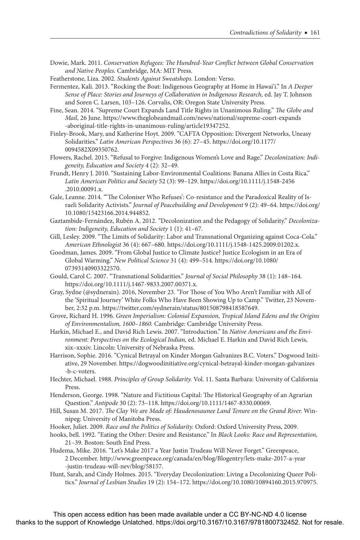Dowie, Mark. 2011. *Conservation Refugees: The Hundred-Year Conflict between Global Conservation and Native Peoples.* Cambridge, MA: MIT Press.

Featherstone, Liza. 2002. *Students Against Sweatshops.* London: Verso.

- Fermentez, Kali. 2013. "Rocking the Boat: Indigenous Geography at Home in Hawai'i." In *A Deeper Sense of Place: Stories and Journeys of Collaboration in Indigenous Research,* ed. Jay T. Johnson and Soren C. Larsen, 103–126. Corvalis, OR: Oregon State University Press.
- Fine, Sean. 2014. "Supreme Court Expands Land Title Rights in Unanimous Ruling." *The Globe and Mail,* 26 June. https://www.theglobeandmail.com/news/national/supreme-court-expands -aboriginal-title-rights-in-unanimous-ruling/article19347252.
- Finley-Brook, Mary, and Katherine Hoyt. 2009. "CAFTA Opposition: Divergent Networks, Uneasy Solidarities." *Latin American Perspectives* 36 (6): 27–45. https://doi.org/10.1177/ 0094582X09350762.
- Flowers, Rachel. 2015. "Refusal to Forgive: Indigenous Women's Love and Rage." *Decolonization: Indigeneity, Education and Society* 4 (2): 32–49.
- Frundt, Henry J. 2010. "Sustaining Labor-Environmental Coalitions: Banana Allies in Costa Rica." *Latin American Politics and Society* 52 (3): 99–129. https://doi.org/10.1111/j.1548-2456 .2010.00091.x.
- Gale, Leanne. 2014. "'The Coloniser Who Refuses': Co-resistance and the Paradoxical Reality of Israeli Solidarity Activists." *Journal of Peacebuilding and Development* 9 (2): 49–64. https://doi.org/ 10.1080/15423166.2014.944852.
- Gaztambide-Fernández, Rubén A. 2012. "Decolonization and the Pedagogy of Solidarity." *Decolonization: Indigeneity, Education and Society* 1 (1): 41–67.
- Gill, Lesley. 2009. "The Limits of Solidarity: Labor and Transnational Organizing against Coca-Cola." *American Ethnologist* 36 (4): 667–680. https://doi.org/10.1111/j.1548-1425.2009.01202.x.
- Goodman, James. 2009. "From Global Justice to Climate Justice? Justice Ecologism in an Era of Global Warming." *New Political Science* 31 (4): 499–514. https://doi.org/10.1080/ 07393140903322570.
- Gould, Carol C. 2007. "Transnational Solidarities." *Journal of Social Philosophy* 38 (1): 148–164. https://doi.org/10.1111/j.1467-9833.2007.00371.x.
- Gray, Sydne (@sydnerain). 2016, November 23. "For Those of You Who Aren't Familiar with All of the 'Spiritual Journey' White Folks Who Have Been Showing Up to Camp." Twitter, 23 November, 2:32 p.m. https://twitter.com/sydnerain/status/801508798418587649.
- Grove, Richard H. 1996. *Green Imperialism: Colonial Expansion, Tropical Island Edens and the Origins of Environmentalism, 1600–1860.* Cambridge: Cambridge University Press.
- Harkin, Michael E., and David Rich Lewis. 2007. "Introduction." In *Native Americans and the Environment: Perspectives on the Ecological Indian,* ed. Michael E. Harkin and David Rich Lewis, xix–xxxiv. Lincoln: University of Nebraska Press.
- Harrison, Sophie. 2016. "Cynical Betrayal on Kinder Morgan Galvanizes B.C. Voters." Dogwood Initiative, 29 November. https://dogwoodinitiative.org/cynical-betrayal-kinder-morgan-galvanizes -b-c-voters.
- Hechter, Michael. 1988. *Principles of Group Solidarity.* Vol. 11. Santa Barbara: University of California Press.
- Henderson, George. 1998. "Nature and Fictitious Capital: The Historical Geography of an Agrarian Question." *Antipode* 30 (2): 73–118. https://doi.org/10.1111/1467-8330.00069.
- Hill, Susan M. 2017. *The Clay We are Made of: Haudenosaunee Land Tenure on the Grand River.* Winnipeg: University of Manitoba Press.
- Hooker, Juliet. 2009. *Race and the Politics of Solidarity.* Oxford: Oxford University Press, 2009.
- hooks, bell. 1992. "Eating the Other: Desire and Resistance." In *Black Looks: Race and Representation,* 21–39. Boston: South End Press.
- Hudema, Mike. 2016. "Let's Make 2017 a Year Justin Trudeau Will Never Forget." Greenpeace, 2 December. http://www.greenpeace.org/canada/en/blog/Blogentry/lets-make-2017-a-year -justin-trudeau-will-nev/blog/58157.
- Hunt, Sarah, and Cindy Holmes. 2015. "Everyday Decolonization: Living a Decolonizing Queer Politics." *Journal of Lesbian Studies* 19 (2): 154–172. https://doi.org/10.1080/10894160.2015.970975.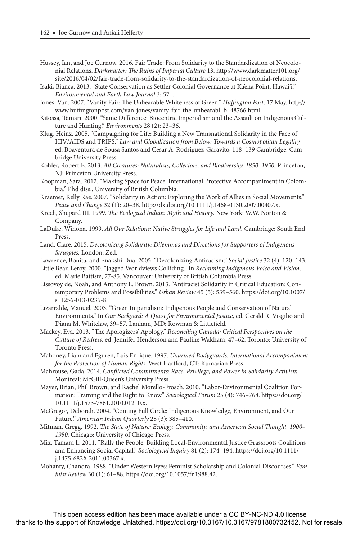- Hussey, Ian, and Joe Curnow. 2016. Fair Trade: From Solidarity to the Standardization of Neocolonial Relations. *Darkmatter: The Ruins of Imperial Culture* 13. http://www.darkmatter101.org/ site/2016/04/02/fair-trade-from-solidarity-to-the-standardization-of-neocolonial-relations.
- Isaki, Bianca. 2013. "State Conservation as Settler Colonial Governance at Ka'ena Point, Hawai'i." *Environmental and Earth Law Journal* 3: 57–.
- Jones. Van. 2007. "Vanity Fair: The Unbearable Whiteness of Green." *Huffington Post,* 17 May. http:// www.huffingtonpost.com/van-jones/vanity-fair-the-unbearabl\_b\_48766.html.
- Kitossa, Tamari. 2000. "Same Difference: Biocentric Imperialism and the Assault on Indigenous Culture and Hunting." *Environments* 28 (2): 23–36.
- Klug, Heinz. 2005. "Campaigning for Life: Building a New Transnational Solidarity in the Face of HIV/AIDS and TRIPS." *Law and Globalization from Below: Towards a Cosmopolitan Legality,* ed. Boaventura de Sousa Santos and César A. Rodriguez-Garavito, 118–139 Cambridge: Cambridge University Press.
- Kohler, Robert E. 2013. *All Creatures: Naturalists, Collectors, and Biodiversity, 1850–1950.* Princeton, NJ: Princeton University Press.
- Koopman, Sara. 2012. "Making Space for Peace: International Protective Accompaniment in Colombia." Phd diss., University of British Columbia.
- Kraemer, Kelly Rae. 2007. "Solidarity in Action: Exploring the Work of Allies in Social Movements." *Peace and Change* 32 (1): 20–38. http://dx.doi.org/10.1111/j.1468-0130.2007.00407.x.
- Krech, Shepard III. 1999. *The Ecological Indian: Myth and History.* New York: W.W. Norton & Company.
- LaDuke, Winona. 1999. *All Our Relations: Native Struggles for Life and Land.* Cambridge: South End Press.
- Land, Clare. 2015. *Decolonizing Solidarity: Dilemmas and Directions for Supporters of Indigenous Struggles.* London: Zed.
- Lawrence, Bonita, and Enakshi Dua. 2005. "Decolonizing Antiracism." *Social Justice* 32 (4): 120–143.
- Little Bear, Leroy. 2000. "Jagged Worldviews Colliding." In *Reclaiming Indigenous Voice and Vision,* ed. Marie Battiste, 77-85. Vancouver: University of British Columbia Press.
- Lissovoy de, Noah, and Anthony L. Brown. 2013. "Antiracist Solidarity in Critical Education: Contemporary Problems and Possibilities." *Urban Review* 45 (5): 539–560. https://doi.org/10.1007/ s11256-013-0235-8.
- Lizarralde, Manuel. 2003. "Green Imperialism: Indigenous People and Conservation of Natural Environments." In *Our Backyard: A Quest for Environmental Justice,* ed. Gerald R. Visgilio and Diana M. Whitelaw, 39–57. Lanham, MD: Rowman & Littlefield.
- Mackey, Eva. 2013. "The Apologizers' Apology." *Reconciling Canada: Critical Perspectives on the Culture of Redress,* ed. Jennifer Henderson and Pauline Wakham, 47–62. Toronto: University of Toronto Press.
- Mahoney, Liam and Eguren, Luis Enrique. 1997. *Unarmed Bodyguards: International Accompaniment for the Protection of Human Rights.* West Hartford, CT: Kumarian Press.
- Mahrouse, Gada. 2014. *Conflicted Commitments: Race, Privilege, and Power in Solidarity Activism.* Montreal: McGill-Queen's University Press.
- Mayer, Brian, Phil Brown, and Rachel Morello-Frosch. 2010. "Labor-Environmental Coalition Formation: Framing and the Right to Know." *Sociological Forum* 25 (4): 746–768. https://doi.org/ 10.1111/j.1573-7861.2010.01210.x.
- McGregor, Deborah. 2004. "Coming Full Circle: Indigenous Knowledge, Environment, and Our Future." *American Indian Quarterly* 28 (3): 385–410.
- Mitman, Gregg. 1992. *The State of Nature: Ecology, Community, and American Social Thought, 1900– 1950.* Chicago: University of Chicago Press.
- Mix, Tamara L. 2011. "Rally the People: Building Local-Environmental Justice Grassroots Coalitions and Enhancing Social Capital." *Sociological Inquiry* 81 (2): 174–194. https://doi.org/10.1111/ j.1475-682X.2011.00367.x.
- Mohanty, Chandra. 1988. "Under Western Eyes: Feminist Scholarship and Colonial Discourses." *Feminist Review* 30 (1): 61–88. https://doi.org/10.1057/fr.1988.42.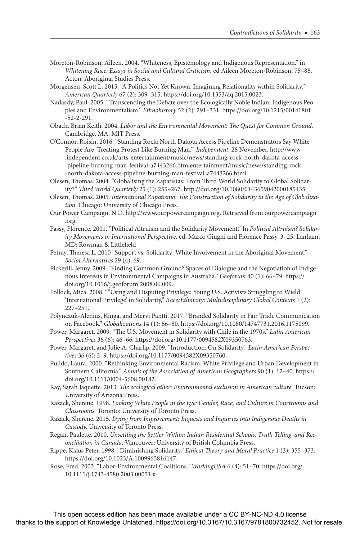- Moreton-Robinson, Aileen. 2004. "Whiteness, Epistemology and Indigenous Representation." in *Whitening Race: Essays in Social and Cultural Criticism,* ed Aileen Moreton-Robinson, 75–88. Acton: Aboriginal Studies Press.
- Morgensen, Scott L. 2015. "A Politics Not Yet Known: Imagining Relationality within Solidarity." *American Quarterly* 67 (2): 309–315. https://doi.org/10.1353/aq.2015.0023.
- Nadasdy, Paul. 2005. "Transcending the Debate over the Ecologically Noble Indian: Indigenous Peoples and Environmentalism." *Ethnohistory* 52 (2): 291–331. https://doi.org/10.1215/00141801 -52-2-291.
- Obach, Brian Keith. 2004. *Labor and the Environmental Movement: The Quest for Common Ground.* Cambridge, MA: MIT Press.
- O'Connor, Roisin. 2016. "Standing Rock: North Dakota Access Pipeline Demonstrators Say White People Are 'Treating Protest Like Burning Man.'" *Independent,* 28 November. http://www .independent.co.uk/arts-entertainment/music/news/standing-rock-north-dakota-access -pipeline-burning-man-festival-a7443266.htmlentertainment/music/news/standing-rock -north-dakota-access-pipeline-burning-man-festival-a7443266.html.
- Olesen, Thomas. 2004. "Globalising the Zapatistas: From Third World Solidarity to Global Solidarity?" *Third World Quarterly* 25 (1): 255–267. http://doi.org/10.1080/0143659042000185435.
- Olesen, Thomas. 2005. *International Zapatismo: The Construction of Solidarity in the Age of Globalization.* Chicago: University of Chicago Press.
- Our Power Campaign. N.D. http://www.ourpowercampaign.org. Retrieved from ourpowercampaign .org.
- Passy, Florence. 2001. "Political Altruism and the Solidarity Movement." In *Political Altruism? Solidarity Movements in International Perspective,* ed. Marco Giugni and Florence Passy, 3–25. Lanham, MD: Rowman & Littlefield
- Petray, Theresa L. 2010 "Support vs. Solidarity: White Involvement in the Aboriginal Movement." *Social Alternatives* 29 (4): 69.
- Pickerill, Jenny. 2009. "Finding Common Ground? Spaces of Dialogue and the Negotiation of Indigenous Interests in Environmental Campaigns in Australia." *Geoforum* 40 (1): 66–79. https:// doi.org/10.1016/j.geoforum.2008.06.009.
- Pollock, Mica. 2008. ""Using and Disputing Privilege: Young U.S. Activists Struggling to Wield 'International Privilege' in Solidarity," *Race/Ethnicity: Multidisciplinary Global Contexts* 1 (2): 227–251.
- Polynczuk-Alenius, Kinga, and Mervi Pantti. 2017. "Branded Solidarity in Fair Trade Communication on Facebook." *Globalizations* 14 (1): 66–80. https://doi.org/10.1080/14747731.2016.1175099.
- Power, Margaret. 2009. "The U.S. Movement in Solidarity with Chile in the 1970s." *Latin American Perspectives* 36 (6): 46–66. https://doi.org/10.1177/0094582X09350763.
- Power, Margaret, and Julie A. Charlip. 2009. "Introduction: On Solidarity." *Latin American Perspectives* 36 (6): 3–9. https://doi.org/10.1177/0094582X09350760.
- Pulido, Laura. 2000. "Rethinking Environmental Racism: White Privilege and Urban Development in Southern California." *Annals of the Association of American Geographers* 90 (1): 12–40. https:// doi.org/10.1111/0004-5608.00182.

Ray, Sarah Jaquette. 2013. *The ecological other: Environmental exclusion in American culture.* Tucson: University of Arizona Press.

- Razack, Sherene. 1998. *Looking White People in the Eye: Gender, Race, and Culture in Courtrooms and Classrooms.* Toronto: University of Toronto Press.
- Razack, Sherene. 2015. *Dying from Improvement: Inquests and Inquiries into Indigenous Deaths in Custody.* University of Toronto Press.
- Regan, Paulette. 2010. *Unsettling the Settler Within: Indian Residential Schools, Truth Telling, and Reconciliation in Canada.* Vancouver: University of British Columbia Press.
- Rippe, Klaus Peter. 1998. "Diminishing Solidarity." *Ethical Theory and Moral Practice* 1 (3): 355–373. https://doi.org/10.1023/A:1009965816147.
- Rose, Fred. 2003. "Labor-Environmental Coalitions." *WorkingUSA* 6 (4): 51–70. https://doi.org/ 10.1111/j.1743-4580.2003.00051.x.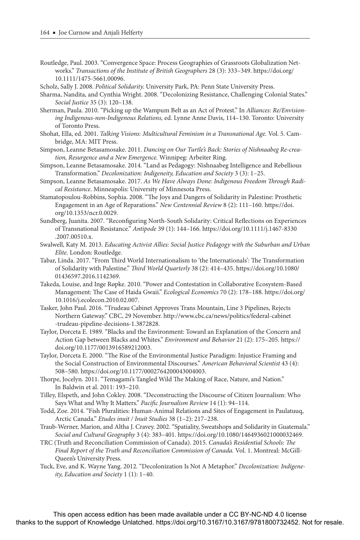- Routledge, Paul. 2003. "Convergence Space: Process Geographies of Grassroots Globalization Networks." *Transactions of the Institute of British Geographers* 28 (3): 333–349. https://doi.org/ 10.1111/1475-5661.00096.
- Scholz, Sally J. 2008. *Political Solidarity.* University Park, PA: Penn State University Press.
- Sharma, Nandita, and Cynthia Wright. 2008. "Decolonizing Resistance, Challenging Colonial States." *Social Justice* 35 (3): 120–138.
- Sherman, Paula. 2010. "Picking up the Wampum Belt as an Act of Protest." In *Alliances: Re/Envisioning Indigenous-non-Indigenous Relations,* ed. Lynne Anne Davis, 114–130. Toronto: University of Toronto Press.
- Shohat, Ella, ed. 2001. *Talking Visions: Multicultural Feminism in a Transnational Age.* Vol. 5. Cambridge, MA: MIT Press.
- Simpson, Leanne Betasamosake. 2011. *Dancing on Our Turtle's Back: Stories of Nishnaabeg Re-creation, Resurgence and a New Emergence.* Winnipeg: Arbeiter Ring.
- Simpson, Leanne Betasamosake. 2014. "Land as Pedagogy: Nishnaabeg Intelligence and Rebellious Transformation." *Decolonization: Indigeneity, Education and Society* 3 (3): 1–25.
- Simpson, Leanne Betasamosake. 2017. *As We Have Always Done: Indigenous Freedom Through Radical Resistance*. Minneapolis: University of Minnesota Press.
- Stamatopoulou-Robbins, Sophia. 2008. "The Joys and Dangers of Solidarity in Palestine: Prosthetic Engagement in an Age of Reparations." *New Centennial Review* 8 (2): 111–160. https://doi. org/10.1353/ncr.0.0029.
- Sundberg, Juanita. 2007. "Reconfiguring North-South Solidarity: Critical Reflections on Experiences of Transnational Resistance." *Antipode* 39 (1): 144–166. https://doi.org/10.1111/j.1467-8330 .2007.00510.x.
- Swalwell, Katy M. 2013. *Educating Activist Allies: Social Justice Pedagogy with the Suburban and Urban Elite.* London: Routledge.
- Tabar, Linda. 2017. "From Third World Internationalism to 'the Internationals': The Transformation of Solidarity with Palestine." *Third World Quarterly* 38 (2): 414–435. https://doi.org/10.1080/ 01436597.2016.1142369.
- Takeda, Louise, and Inge Røpke. 2010. "Power and Contestation in Collaborative Ecosystem-Based Management: The Case of Haida Gwaii." *Ecological Economics* 70 (2): 178–188. https://doi.org/ 10.1016/j.ecolecon.2010.02.007.
- Tasker, John Paul. 2016. "Trudeau Cabinet Approves Trans Mountain, Line 3 Pipelines, Rejects Northern Gateway." CBC, 29 November. http://www.cbc.ca/news/politics/federal-cabinet -trudeau-pipeline-decisions-1.3872828.
- Taylor, Dorceta E. 1989. "Blacks and the Environment: Toward an Explanation of the Concern and Action Gap between Blacks and Whites." *Environment and Behavior* 21 (2): 175–205. https:// doi.org/10.1177/0013916589212003.
- Taylor, Dorceta E. 2000. "The Rise of the Environmental Justice Paradigm: Injustice Framing and the Social Construction of Environmental Discourses." *American Behavioral Scientist* 43 (4): 508–580. https://doi.org/10.1177/0002764200043004003.
- Thorpe, Jocelyn. 2011. "Temagami's Tangled Wild The Making of Race, Nature, and Nation." In Baldwin et al. 2011: 193–210.
- Tilley, Elspeth, and John Cokley. 2008. "Deconstructing the Discourse of Citizen Journalism: Who Says What and Why It Matters." *Pacific Journalism Review* 14 (1): 94–114.
- Todd, Zoe. 2014. "Fish Pluralities: Human-Animal Relations and Sites of Engagement in Paulatuuq, Arctic Canada." *Etudes inuit / Inuit Studies* 38 (1–2): 217–238.
- Traub-Werner, Marion, and Altha J. Cravey. 2002. "Spatiality, Sweatshops and Solidarity in Guatemala." *Social and Cultural Geography* 3 (4): 383–401. https://doi.org/10.1080/1464936021000032469.
- TRC (Truth and Reconciliation Commission of Canada). 2015. *Canada's Residential Schools: The Final Report of the Truth and Reconciliation Commission of Canada.* Vol. 1. Montreal: McGill-Queen's University Press.
- Tuck, Eve, and K. Wayne Yang. 2012. "Decolonization Is Not A Metaphor." *Decolonization: Indigeneity, Education and Society* 1 (1): 1–40.